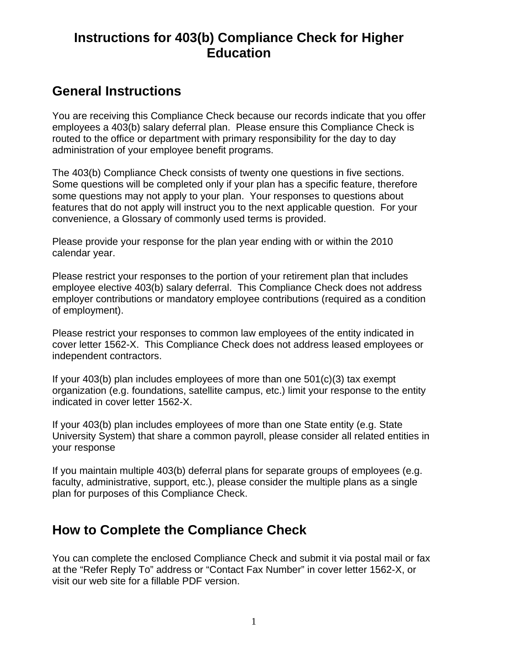## **Instructions for 403(b) Compliance Check for Higher Education**

## **General Instructions**

You are receiving this Compliance Check because our records indicate that you offer employees a 403(b) salary deferral plan. Please ensure this Compliance Check is routed to the office or department with primary responsibility for the day to day administration of your employee benefit programs.

The 403(b) Compliance Check consists of twenty one questions in five sections. Some questions will be completed only if your plan has a specific feature, therefore some questions may not apply to your plan. Your responses to questions about features that do not apply will instruct you to the next applicable question. For your convenience, a Glossary of commonly used terms is provided.

Please provide your response for the plan year ending with or within the 2010 calendar year.

Please restrict your responses to the portion of your retirement plan that includes employee elective 403(b) salary deferral. This Compliance Check does not address employer contributions or mandatory employee contributions (required as a condition of employment).

Please restrict your responses to common law employees of the entity indicated in cover letter 1562-X. This Compliance Check does not address leased employees or independent contractors.

If your  $403(b)$  plan includes employees of more than one  $501(c)(3)$  tax exempt organization (e.g. foundations, satellite campus, etc.) limit your response to the entity indicated in cover letter 1562-X.

If your 403(b) plan includes employees of more than one State entity (e.g. State University System) that share a common payroll, please consider all related entities in your response

If you maintain multiple 403(b) deferral plans for separate groups of employees (e.g. faculty, administrative, support, etc.), please consider the multiple plans as a single plan for purposes of this Compliance Check.

## **How to Complete the Compliance Check**

You can complete the enclosed Compliance Check and submit it via postal mail or fax at the "Refer Reply To" address or "Contact Fax Number" in cover letter 1562-X, or visit our web site for a fillable PDF version.